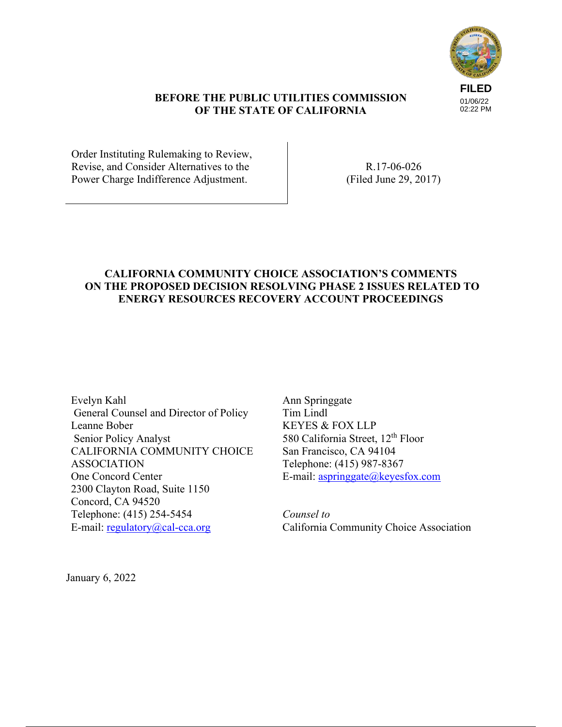

### **BEFORE THE PUBLIC UTILITIES COMMISSION OF THE STATE OF CALIFORNIA**

Order Instituting Rulemaking to Review, Revise, and Consider Alternatives to the Power Charge Indifference Adjustment.

R.17-06-026 (Filed June 29, 2017)

# **CALIFORNIA COMMUNITY CHOICE ASSOCIATION'S COMMENTS ON THE PROPOSED DECISION RESOLVING PHASE 2 ISSUES RELATED TO ENERGY RESOURCES RECOVERY ACCOUNT PROCEEDINGS**

Evelyn Kahl General Counsel and Director of Policy Leanne Bober Senior Policy Analyst CALIFORNIA COMMUNITY CHOICE ASSOCIATION One Concord Center 2300 Clayton Road, Suite 1150 Concord, CA 94520 Telephone: (415) 254-5454 E-mail:  $regularov@cal-cca.org$ 

Ann Springgate Tim Lindl KEYES & FOX LLP 580 California Street, 12<sup>th</sup> Floor San Francisco, CA 94104 Telephone: (415) 987-8367 E-mail: aspringgate@keyesfox.com

*Counsel to*  California Community Choice Association

January 6, 2022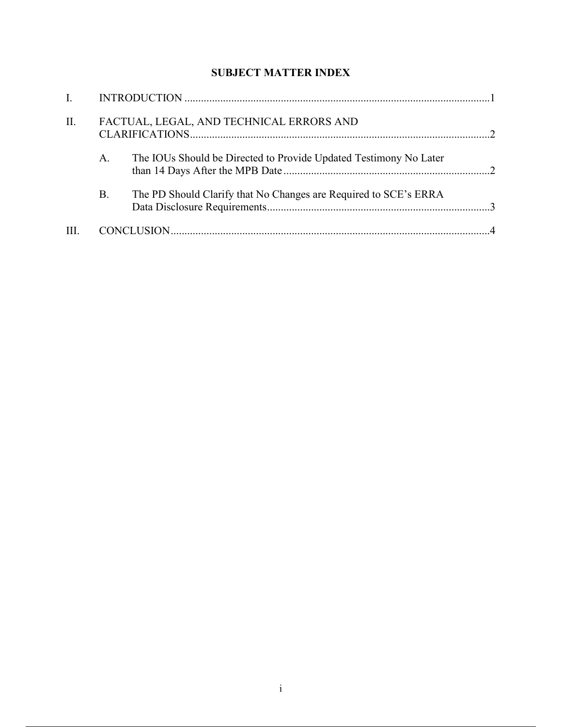# **SUBJECT MATTER INDEX**

| II. |    | FACTUAL, LEGAL, AND TECHNICAL ERRORS AND                          |  |
|-----|----|-------------------------------------------------------------------|--|
|     | A. | The IOUs Should be Directed to Provide Updated Testimony No Later |  |
|     | Β. | The PD Should Clarify that No Changes are Required to SCE's ERRA  |  |
|     |    |                                                                   |  |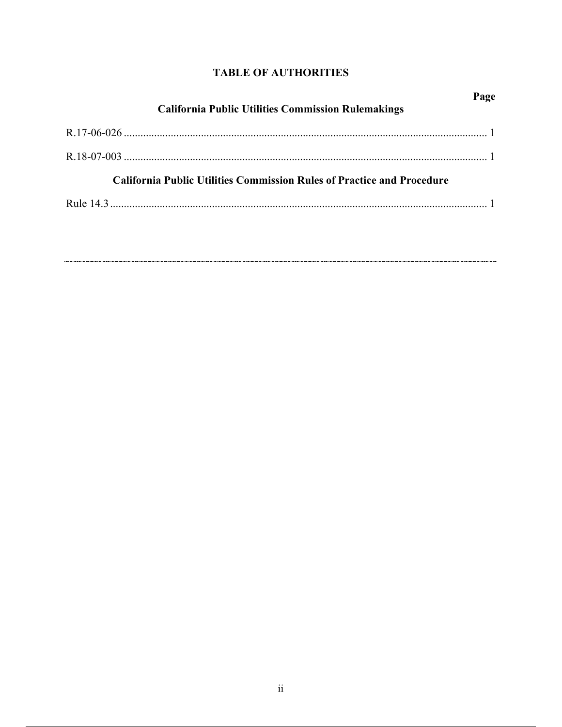# **TABLE OF AUTHORITIES**

| Page<br><b>California Public Utilities Commission Rulemakings</b>             |  |  |  |  |
|-------------------------------------------------------------------------------|--|--|--|--|
|                                                                               |  |  |  |  |
|                                                                               |  |  |  |  |
| <b>California Public Utilities Commission Rules of Practice and Procedure</b> |  |  |  |  |
|                                                                               |  |  |  |  |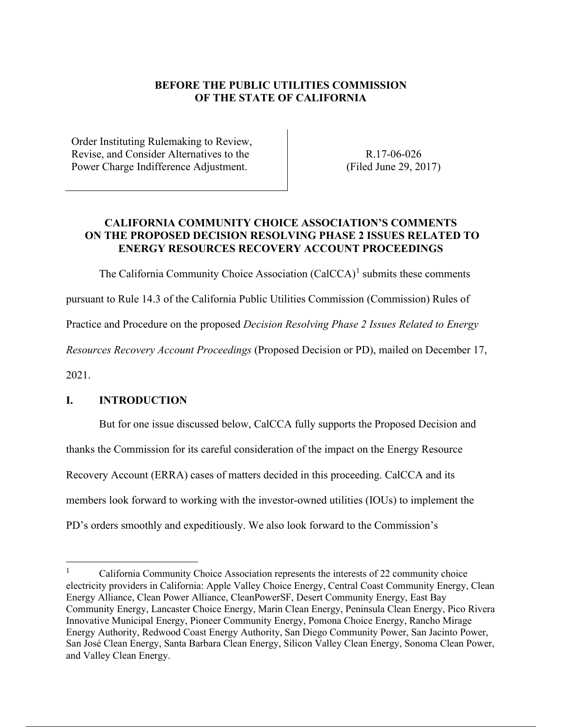# **BEFORE THE PUBLIC UTILITIES COMMISSION OF THE STATE OF CALIFORNIA**

Order Instituting Rulemaking to Review, Revise, and Consider Alternatives to the Power Charge Indifference Adjustment.

R.17-06-026 (Filed June 29, 2017)

## **CALIFORNIA COMMUNITY CHOICE ASSOCIATION'S COMMENTS ON THE PROPOSED DECISION RESOLVING PHASE 2 ISSUES RELATED TO ENERGY RESOURCES RECOVERY ACCOUNT PROCEEDINGS**

The California Community Choice Association  $(CaICCA)^1$  submits these comments

pursuant to Rule 14.3 of the California Public Utilities Commission (Commission) Rules of

Practice and Procedure on the proposed *Decision Resolving Phase 2 Issues Related to Energy* 

*Resources Recovery Account Proceedings* (Proposed Decision or PD), mailed on December 17,

2021.

#### **I. INTRODUCTION**

But for one issue discussed below, CalCCA fully supports the Proposed Decision and thanks the Commission for its careful consideration of the impact on the Energy Resource Recovery Account (ERRA) cases of matters decided in this proceeding. CalCCA and its members look forward to working with the investor-owned utilities (IOUs) to implement the PD's orders smoothly and expeditiously. We also look forward to the Commission's

<sup>1</sup> California Community Choice Association represents the interests of 22 community choice electricity providers in California: Apple Valley Choice Energy, Central Coast Community Energy, Clean Energy Alliance, Clean Power Alliance, CleanPowerSF, Desert Community Energy, East Bay Community Energy, Lancaster Choice Energy, Marin Clean Energy, Peninsula Clean Energy, Pico Rivera Innovative Municipal Energy, Pioneer Community Energy, Pomona Choice Energy, Rancho Mirage Energy Authority, Redwood Coast Energy Authority, San Diego Community Power, San Jacinto Power, San José Clean Energy, Santa Barbara Clean Energy, Silicon Valley Clean Energy, Sonoma Clean Power, and Valley Clean Energy.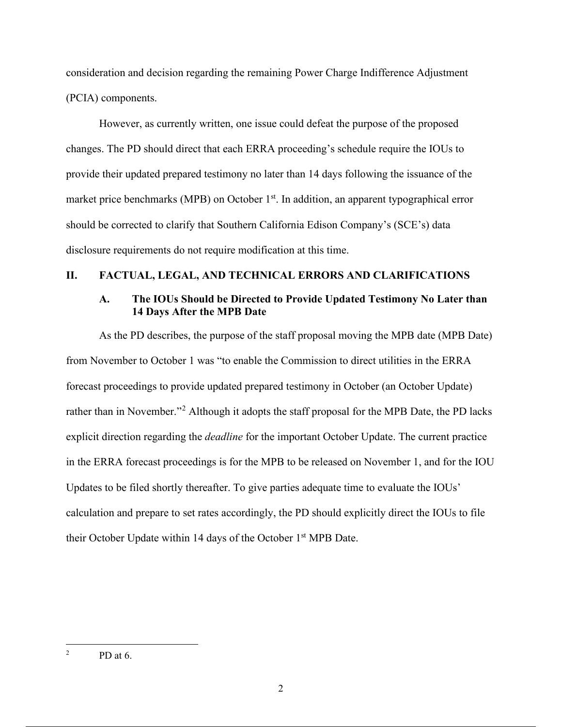consideration and decision regarding the remaining Power Charge Indifference Adjustment (PCIA) components.

However, as currently written, one issue could defeat the purpose of the proposed changes. The PD should direct that each ERRA proceeding's schedule require the IOUs to provide their updated prepared testimony no later than 14 days following the issuance of the market price benchmarks (MPB) on October  $1<sup>st</sup>$ . In addition, an apparent typographical error should be corrected to clarify that Southern California Edison Company's (SCE's) data disclosure requirements do not require modification at this time.

## **II. FACTUAL, LEGAL, AND TECHNICAL ERRORS AND CLARIFICATIONS**

#### **A. The IOUs Should be Directed to Provide Updated Testimony No Later than 14 Days After the MPB Date**

As the PD describes, the purpose of the staff proposal moving the MPB date (MPB Date) from November to October 1 was "to enable the Commission to direct utilities in the ERRA forecast proceedings to provide updated prepared testimony in October (an October Update) rather than in November."<sup>2</sup> Although it adopts the staff proposal for the MPB Date, the PD lacks explicit direction regarding the *deadline* for the important October Update. The current practice in the ERRA forecast proceedings is for the MPB to be released on November 1, and for the IOU Updates to be filed shortly thereafter. To give parties adequate time to evaluate the IOUs' calculation and prepare to set rates accordingly, the PD should explicitly direct the IOUs to file their October Update within 14 days of the October 1<sup>st</sup> MPB Date.

<sup>2</sup> PD at 6.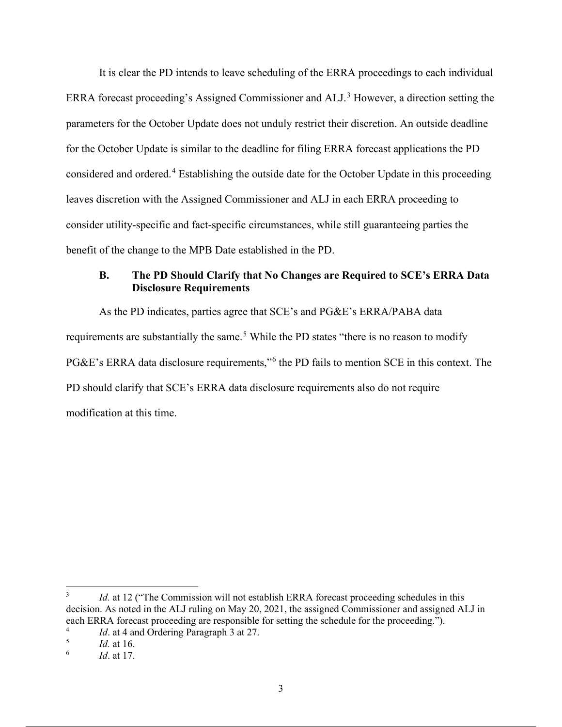It is clear the PD intends to leave scheduling of the ERRA proceedings to each individual ERRA forecast proceeding's Assigned Commissioner and ALJ.<sup>3</sup> However, a direction setting the parameters for the October Update does not unduly restrict their discretion. An outside deadline for the October Update is similar to the deadline for filing ERRA forecast applications the PD considered and ordered.<sup>4</sup> Establishing the outside date for the October Update in this proceeding leaves discretion with the Assigned Commissioner and ALJ in each ERRA proceeding to consider utility-specific and fact-specific circumstances, while still guaranteeing parties the benefit of the change to the MPB Date established in the PD.

## **B. The PD Should Clarify that No Changes are Required to SCE's ERRA Data Disclosure Requirements**

As the PD indicates, parties agree that SCE's and PG&E's ERRA/PABA data requirements are substantially the same.<sup>5</sup> While the PD states "there is no reason to modify PG&E's ERRA data disclosure requirements,"<sup>6</sup> the PD fails to mention SCE in this context. The PD should clarify that SCE's ERRA data disclosure requirements also do not require modification at this time.

<sup>3</sup> *Id.* at 12 ("The Commission will not establish ERRA forecast proceeding schedules in this decision. As noted in the ALJ ruling on May 20, 2021, the assigned Commissioner and assigned ALJ in each ERRA forecast proceeding are responsible for setting the schedule for the proceeding.").

*Id.* at 4 and Ordering Paragraph 3 at 27.

<sup>5</sup> *Id.* at 16.

<sup>6</sup> *Id*. at 17.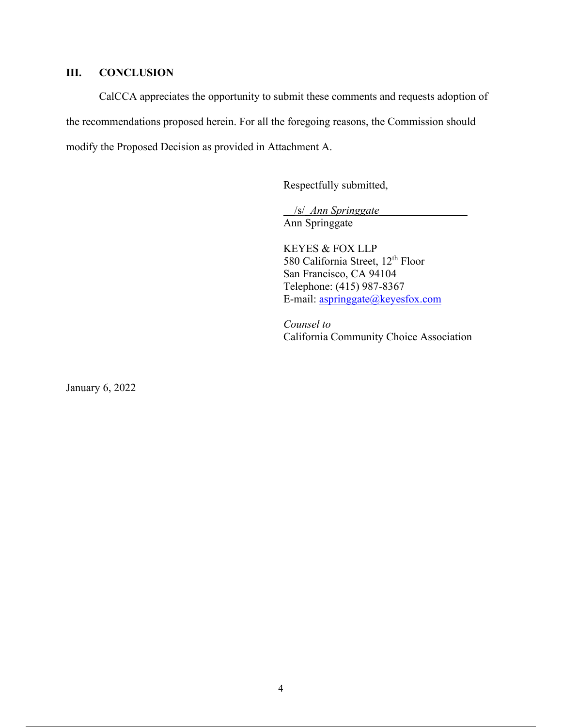## **III. CONCLUSION**

CalCCA appreciates the opportunity to submit these comments and requests adoption of the recommendations proposed herein. For all the foregoing reasons, the Commission should modify the Proposed Decision as provided in Attachment A.

Respectfully submitted,

\_\_/s/\_*Ann Springgate*\_\_\_\_\_\_\_\_\_\_\_\_\_\_\_\_ Ann Springgate

KEYES & FOX LLP 580 California Street, 12<sup>th</sup> Floor San Francisco, CA 94104 Telephone: (415) 987-8367 E-mail: aspringgate@keyesfox.com

*Counsel to*  California Community Choice Association

January 6, 2022